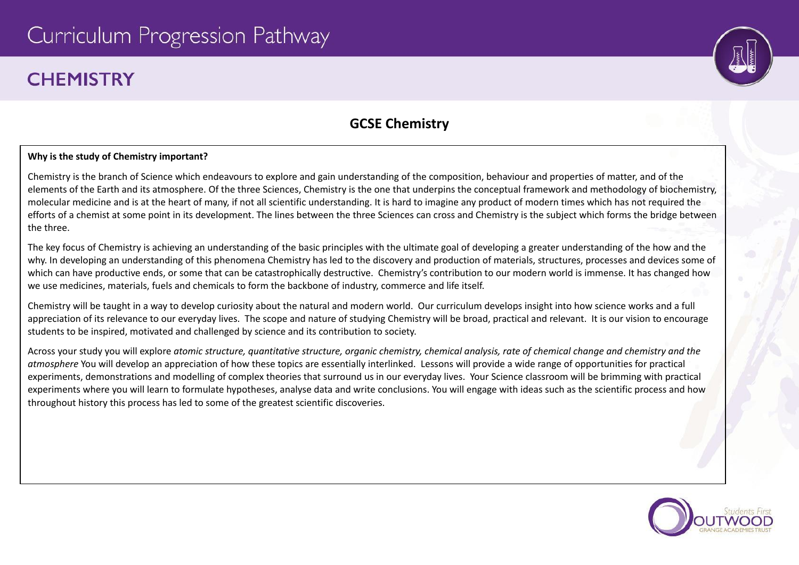# Curriculum Progression Pathway

## **CHFMISTRY**

### **GCSE Chemistry**

#### **Why is the study of Chemistry important?**

Chemistry is the branch of Science which endeavours to explore and gain understanding of the composition, behaviour and properties of matter, and of the elements of the Earth and its atmosphere. Of the three Sciences, Chemistry is the one that underpins the conceptual framework and methodology of biochemistry, molecular medicine and is at the heart of many, if not all scientific understanding. It is hard to imagine any product of modern times which has not required the efforts of a chemist at some point in its development. The lines between the three Sciences can cross and Chemistry is the subject which forms the bridge between the three.

The key focus of Chemistry is achieving an understanding of the basic principles with the ultimate goal of developing a greater understanding of the how and the why. In developing an understanding of this phenomena Chemistry has led to the discovery and production of materials, structures, processes and devices some of which can have productive ends, or some that can be catastrophically destructive. Chemistry's contribution to our modern world is immense. It has changed how we use medicines, materials, fuels and chemicals to form the backbone of industry, commerce and life itself.

Chemistry will be taught in a way to develop curiosity about the natural and modern world. Our curriculum develops insight into how science works and a full appreciation of its relevance to our everyday lives. The scope and nature of studying Chemistry will be broad, practical and relevant. It is our vision to encourage students to be inspired, motivated and challenged by science and its contribution to society.

Across your study you will explore atomic structure, auantitative structure, organic chemistry, chemical analysis, rate of chemical change and chemistry and the *atmosphere* You will develop an appreciation of how these topics are essentially interlinked. Lessons will provide a wide range of opportunities for practical experiments, demonstrations and modelling of complex theories that surround us in our everyday lives. Your Science classroom will be brimming with practical experiments where you will learn to formulate hypotheses, analyse data and write conclusions. You will engage with ideas such as the scientific process and how throughout history this process has led to some of the greatest scientific discoveries.

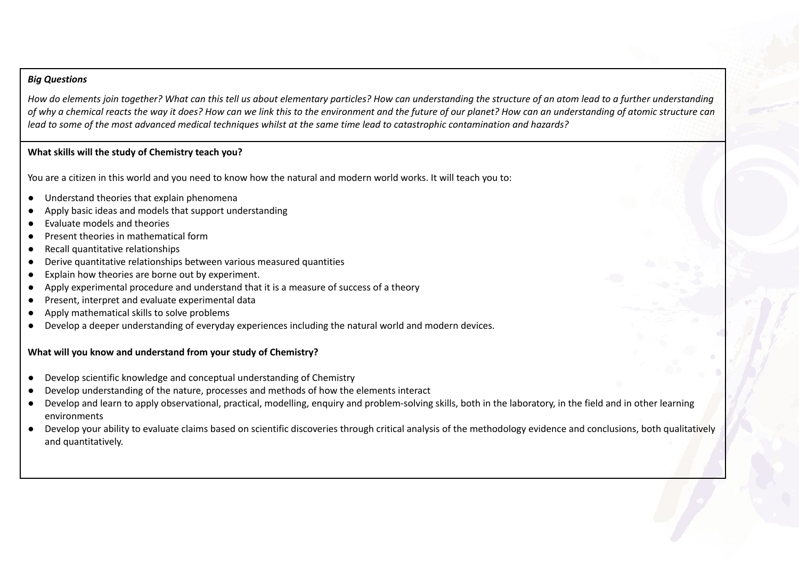#### *Big Questions*

How do elements join together? What can this tell us about elementary particles? How can understanding the structure of an atom lead to a further understanding of why a chemical reacts the way it does? How can we link this to the environment and the future of our planet? How can an understanding of atomic structure can lead to some of the most advanced medical techniques whilst at the same time lead to catastrophic contamination and hazards?

#### **What skills will the study of Chemistry teach you?**

You are a citizen in this world and you need to know how the natural and modern world works. It will teach you to:

- Understand theories that explain phenomena
- Apply basic ideas and models that support understanding
- Evaluate models and theories
- Present theories in mathematical form
- Recall quantitative relationships
- Derive quantitative relationships between various measured quantities
- Explain how theories are borne out by experiment.
- Apply experimental procedure and understand that it is a measure of success of a theory
- Present, interpret and evaluate experimental data
- Apply mathematical skills to solve problems
- Develop a deeper understanding of everyday experiences including the natural world and modern devices.

### **What will you know and understand from your study of Chemistry?**

- Develop scientific knowledge and conceptual understanding of Chemistry
- Develop understanding of the nature, processes and methods of how the elements interact
- Develop and learn to apply observational, practical, modelling, enquiry and problem-solving skills, both in the laboratory, in the field and in other learning environments
- Develop your ability to evaluate claims based on scientific discoveries through critical analysis of the methodology evidence and conclusions, both qualitatively and quantitatively.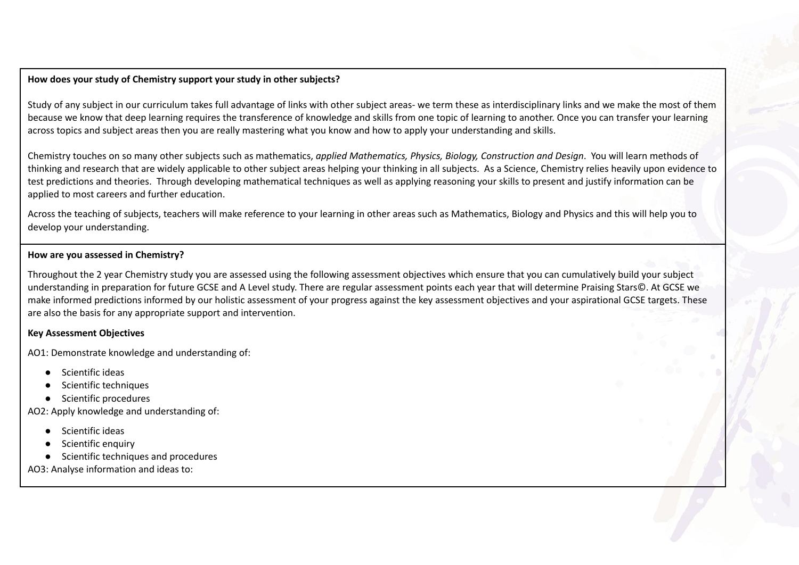#### **How does your study of Chemistry support your study in other subjects?**

Study of any subject in our curriculum takes full advantage of links with other subject areas- we term these as interdisciplinary links and we make the most of them because we know that deep learning requires the transference of knowledge and skills from one topic of learning to another. Once you can transfer your learning across topics and subject areas then you are really mastering what you know and how to apply your understanding and skills.

Chemistry touches on so many other subjects such as mathematics, *applied Mathematics, Physics, Biology, Construction and Design*. You will learn methods of thinking and research that are widely applicable to other subject areas helping your thinking in all subjects. As a Science, Chemistry relies heavily upon evidence to test predictions and theories. Through developing mathematical techniques as well as applying reasoning your skills to present and justify information can be applied to most careers and further education.

Across the teaching of subjects, teachers will make reference to your learning in other areas such as Mathematics, Biology and Physics and this will help you to develop your understanding.

#### **How are you assessed in Chemistry?**

Throughout the 2 year Chemistry study you are assessed using the following assessment objectives which ensure that you can cumulatively build your subject understanding in preparation for future GCSE and A Level study. There are regular assessment points each year that will determine Praising Stars©. At GCSE we make informed predictions informed by our holistic assessment of your progress against the key assessment objectives and your aspirational GCSE targets. These are also the basis for any appropriate support and intervention.

#### **Key Assessment Objectives**

AO1: Demonstrate knowledge and understanding of:

- **Scientific ideas**
- Scientific techniques
- Scientific procedures

AO2: Apply knowledge and understanding of:

- Scientific ideas
- Scientific enquiry
- Scientific techniques and procedures

AO3: Analyse information and ideas to: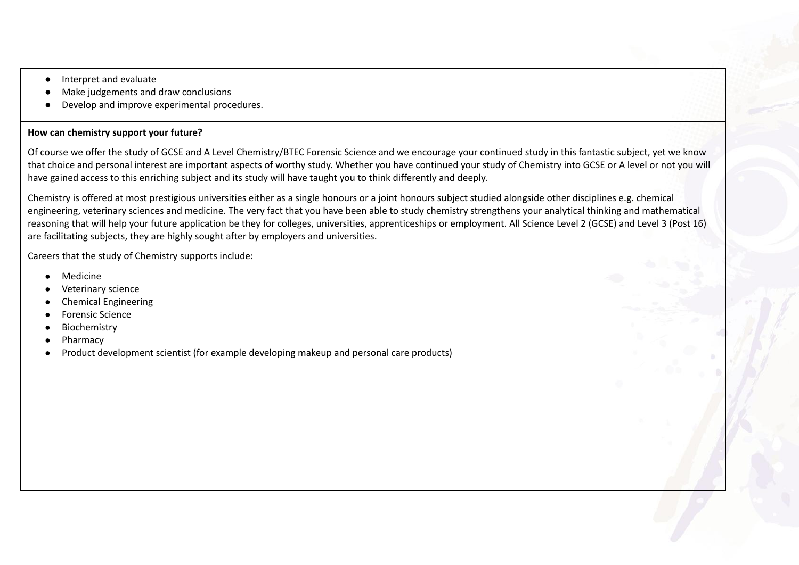- Interpret and evaluate
- Make judgements and draw conclusions
- Develop and improve experimental procedures.

#### **How can chemistry support your future?**

Of course we offer the study of GCSE and A Level Chemistry/BTEC Forensic Science and we encourage your continued study in this fantastic subject, yet we know that choice and personal interest are important aspects of worthy study. Whether you have continued your study of Chemistry into GCSE or A level or not you will have gained access to this enriching subject and its study will have taught you to think differently and deeply.

Chemistry is offered at most prestigious universities either as a single honours or a joint honours subject studied alongside other disciplines e.g. chemical engineering, veterinary sciences and medicine. The very fact that you have been able to study chemistry strengthens your analytical thinking and mathematical reasoning that will help your future application be they for colleges, universities, apprenticeships or employment. All Science Level 2 (GCSE) and Level 3 (Post 16) are facilitating subjects, they are highly sought after by employers and universities.

Careers that the study of Chemistry supports include:

- **Medicine**
- Veterinary science
- **Chemical Engineering**
- **Forensic Science**
- **Biochemistry**
- Pharmacy
- Product development scientist (for example developing makeup and personal care products)